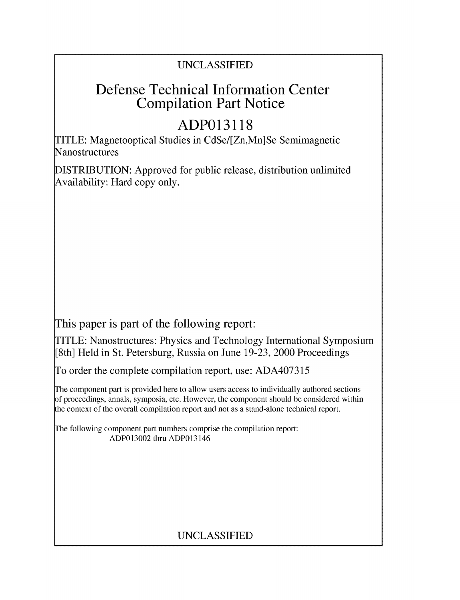### UNCLASSIFIED

## Defense Technical Information Center Compilation Part Notice

# **ADP013118**

TITLE: Magnetooptical Studies in CdSe/[Zn,Mn]Se Semimagnetic Nanostructures

DISTRIBUTION: Approved for public release, distribution unlimited Availability: Hard copy only.

This paper is part of the following report:

TITLE: Nanostructures: Physics and Technology International Symposium [8th] Held in St. Petersburg, Russia on June 19-23, 2000 Proceedings

To order the complete compilation report, use: ADA407315

The component part is provided here to allow users access to individually authored sections f proceedings, annals, symposia, etc. However, the component should be considered within the context of the overall compilation report and not as a stand-alone technical report.

The following component part numbers comprise the compilation report: ADP013002 thru ADP013146

## UNCLASSIFIED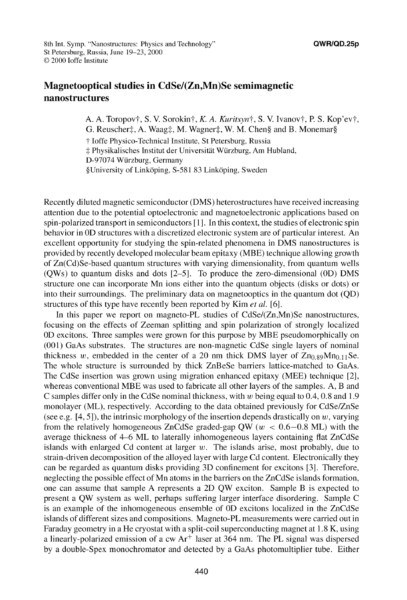### Magnetooptical studies in CdSe/(Zn,Mn)Se semimagnetic nanostructures

A. A. Toropov†, S. V. Sorokin†, K. A. Kuritsyn†, S. V. Ivanov†, P. S. Kop'ev†, G. Reuscher‡, A. Waag‡, M. Wagner‡, W. M. Chen§ and B. Monemar§ **T** Joffe Physico-Technical Institute, St Petersburg, Russia  $\ddagger$  Physikalisches Institut der Universität Würzburg, Am Hubland, D-97074 Wuirzburg, Germany §University of Link6ping, S-581 83 Link6ping, Sweden

Recently diluted magnetic semiconductor (DMS) heterostructures have received increasing attention due to the potential optoelectronic and magnetoelectronic applications based on spin-polarized transport in semiconductors **[11.** In this context, the studies of electronic spin behavior in **OD** structures with a discretized electronic system are of particular interest. An excellent opportunity for studying the spin-related phenomena in DMS nanostructures is provided by recently developed molecular beam epitaxy (MBE) technique allowing growth of Zn(Cd)Se-based quantum structures with varying dimensionality, from quantum wells (QWs) to quantum disks and dots  $[2-5]$ . To produce the zero-dimensional (0D) DMS structure one can incorporate Mn ions either into the quantum objects (disks or dots) or into their surroundings. The preliminary data on magnetooptics in the quantum dot (QD) structures of this type have recently been reported by Kim *et al.* [61.

In this paper we report on magneto-PL studies of  $CdSe/(Zn,Mn)Se$  nanostructures, focusing on the effects of Zeeman splitting and spin polarization of strongly localized **OD** excitons. Three samples were grown for this purpose by MBE pseudomorphically on (001) GaAs substrates. The structures are non-magnetic CdSe single layers of nominal thickness w, embedded in the center of a 20 nm thick DMS layer of  $Zn_{0.89}Mn_{0.11}$ Se. The whole structure is surrounded by thick ZnBeSe barriers lattice-matched to GaAs. The CdSe insertion was grown using migration enhanced epitaxy (MEE) technique [21, whereas conventional MBE was used to fabricate all other layers of the samples. A, B and C samples differ only in the CdSe nominal thickness, with  $w$  being equal to 0.4, 0.8 and 1.9 monolayer (ML), respectively. According to the data obtained previously for CdSe/ZnSe (see e.g. [4, **51),** the intrinsic morphology of the insertion depends drastically on w, varying from the relatively homogeneous ZnCdSe graded-gap QW ( $w < 0.6-0.8$  ML) with the average thickness of 4-6 ML to laterally inhomogeneous layers containing flat ZnCdSe islands with enlarged Cd content at larger  $w$ . The islands arise, most probably, due to strain-driven decomposition of the alloyed layer with large Cd content. Electronically they can be regarded as quantum disks providing 3D confinement for excitons [3]. Therefore, neglecting the possible effect of Mn atoms in the barriers on the ZnCdSe islands formation, one can assume that sample A represents a 2D QW exciton. Sample B is expected to present a QW system as well, perhaps suffering larger interface disordering. Sample C is an example of the inhomogeneous ensemble of **OD** excitons localized in the ZnCdSe islands of different sizes and compositions. Magneto-PL measurements were carried out in Faraday geometry in a He cryostat with a split-coil superconducting magnet at 1.8 K, using a linearly-polarized emission of a cw  $Ar^+$  laser at 364 nm. The PL signal was dispersed by a double-Spex monochromator and detected by a GaAs photomultiplier tube. Either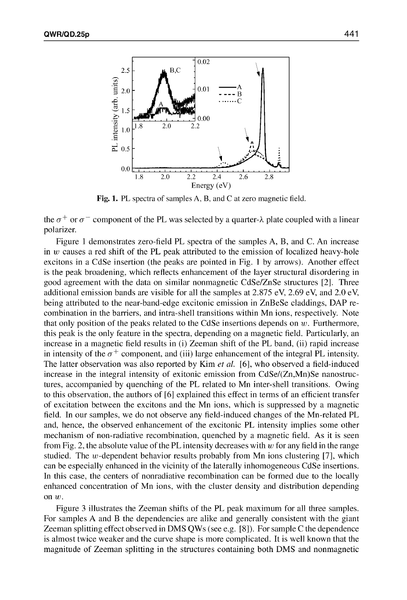

Fig. **1.** PL spectra of samples A, B, and C at zero magnetic field.

the  $\sigma^+$  or  $\sigma^-$  component of the PL was selected by a quarter- $\lambda$  plate coupled with a linear polarizer.

Figure 1 demonstrates zero-field PL spectra of the samples A, B, and C. An increase in w causes a red shift of the PL peak attributed to the emission of localized heavy-hole excitons in a CdSe insertion (the peaks are pointed in Fig. **I** by arrows). Another effect is the peak broadening, which reflects enhancement of the layer structural disordering in good agreement with the data on similar nonmagnetic CdSe/ZnSe structures [21. Three additional emission bands are visible for all the samples at 2.875 eV, 2.69 eV, and 2.0 eV, being attributed to the near-band-edge excitonic emission in ZnBeSe claddings, DAP recombination in the barriers, and intra-shell transitions within Mn ions, respectively. Note that only position of the peaks related to the CdSe insertions depends on  $w$ . Furthermore, this peak is the only feature in the spectra, depending on a magnetic field. Particularly, an increase in a magnetic field results in (i) Zeeman shift of the PL band, (ii) rapid increase in intensity of the  $\sigma^+$  component, and (iii) large enhancement of the integral PL intensity. The latter observation was also reported by Kim *et al.* [61, who observed a field-induced increase in the integral intensity of exitonic emission from  $CdSe/(Zn,Mn)Se$  nanostructures, accompanied by quenching of the PL related to Mn inter-shell transitions. Owing to this observation, the authors of **[61** explained this effect in terms of an efficient transfer of excitation between the excitons and the Mn ions, which is suppressed by a magnetic field. In our samples, we do not observe any field-induced changes of the Mn-related PL and, hence, the observed enhancement of the excitonic PL intensity implies some other mechanism of non-radiative recombination, quenched by a magnetic field. As it is seen from Fig. 2, the absolute value of the PL intensity decreases with  $w$  for any field in the range studied. The w-dependent behavior results probably from Mn ions clustering  $[7]$ , which can be especially enhanced in the vicinity of the laterally inhomogeneous CdSe insertions. In this case, the centers of nonradiative recombination can be formed due to the locally enhanced concentration of Mn ions, with the cluster density and distribution depending on *w.*

Figure 3 illustrates the Zeeman shifts of the PL peak maximum for all three samples. For samples A and B the dependencies are alike and generally consistent with the giant Zeeman splitting effect observed in DMS QWs (see e.g. [8]). For sample C the dependence is almost twice weaker and the curve shape is more complicated. It is well known that the magnitude of Zeeman splitting in the structures containing both DMS and nonmagnetic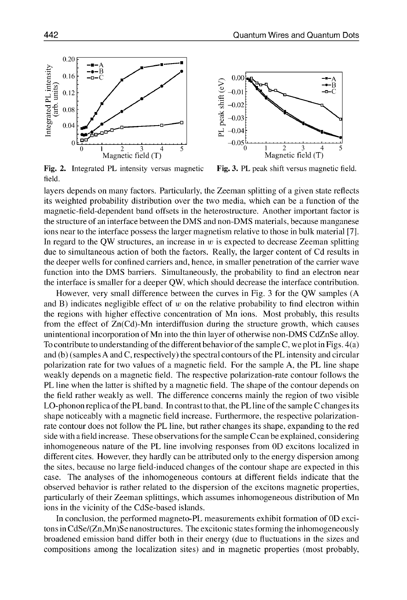

field.



Fig. 2. Integrated PL intensity versus magnetic Fig. 3. PL peak shift versus magnetic field.

layers depends on many factors. Particularly, the Zeeman splitting of a given state reflects its weighted probability distribution over the two media, which can be a function of the magnetic-field-dependent band offsets in the heterostructure. Another important factor is the structure of an interface between the DMS and non-DMS materials, because manganese ions near to the interface possess the larger magnetism relative to those in bulk material [7]. In regard to the QW structures, an increase in  $w$  is expected to decrease Zeeman splitting due to simultaneous action of both the factors. Really, the larger content of Cd results in the deeper wells for confined carriers and, hence, in smaller penetration of the carrier wave function into the DMS barriers. Simultaneously, the probability to find an electron near the interface is smaller for a deeper QW, which should decrease the interface contribution.

However, very small difference between the curves in Fig. 3 for the QW samples (A and B) indicates negligible effect of *w* on the relative probability to find electron within the regions with higher effective concentration of Mn ions. Most probably, this results from the effect of Zn(Cd)-Mn interdiffusion during the structure growth, which causes unintentional incorporation of Mn into the thin layer of otherwise non-DMS CdZnSe alloy. To contribute to understanding of the different behavior of the sample C, we plot in Figs. 4(a) and (b) (samples A and C, respectively) the spectral contours of the PL intensity and circular polarization rate for two values of a magnetic field. For the sample A, the PL line shape weakly depends on a magnetic field. The respective polarization-rate contour follows the PL line when the latter is shifted by a magnetic field. The shape of the contour depends on the field rather weakly as well. The difference concerns mainly the region of two visible LO-phonon replica of the PL band. In contrast to that, the PL line of the sample C changes its shape noticeably with a magnetic field increase. Furthermore, the respective polarizationrate contour does not follow the PL line, but rather changes its shape, expanding to the red side with a field increase. These observations for the sample C can be explained, considering inhomogeneous nature of the PL line involving responses from **OD** excitons localized in different cites. However, they hardly can be attributed only to the energy dispersion among the sites, because no large field-induced changes of the contour shape are expected in this case. The analyses of the inhomogeneous contours at different fields indicate that the observed behavior is rather related to the dispersion of the excitons magnetic properties, particularly of their Zeeman splittings, which assumes inhomogeneous distribution of Mn ions in the vicinity of the CdSe-based islands.

In conclusion, the performed magneto-PL measurements exhibit formation of **OD** excitons in CdSe/(Zn,Mn)Se nanostructures. The excitonic states forming the inhomogeneously broadened emission band differ both in their energy (due to fluctuations in the sizes and compositions among the localization sites) and in magnetic properties (most probably,